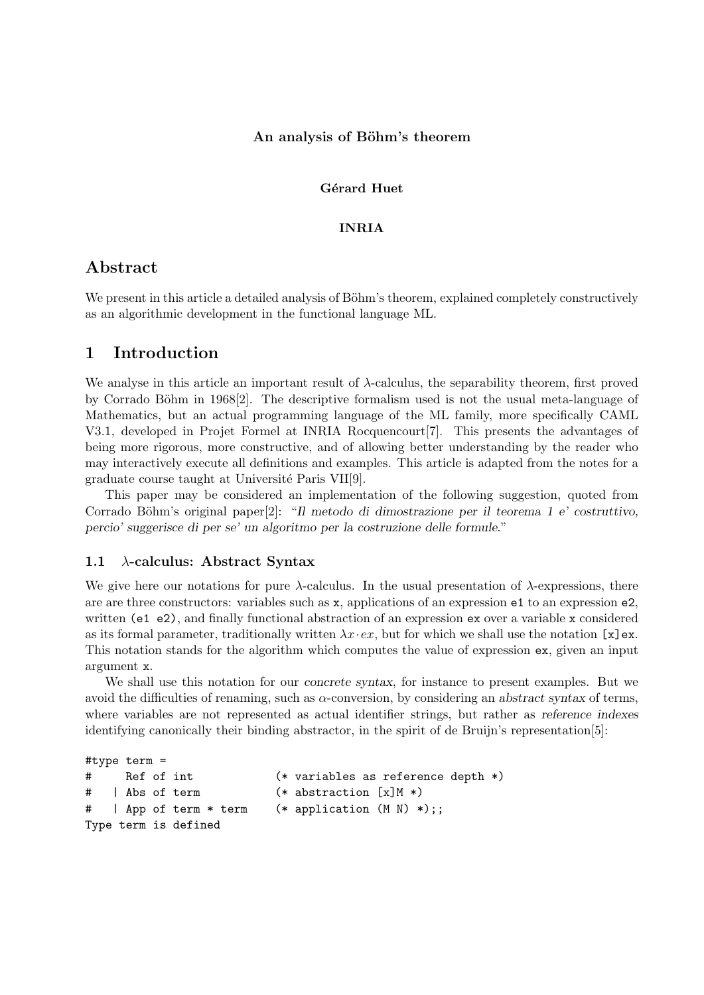## An analysis of Böhm's theorem

## Gérard Huet

#### INRIA

# Abstract

We present in this article a detailed analysis of Böhm's theorem, explained completely constructively as an algorithmic development in the functional language ML.

# 1 Introduction

We analyse in this article an important result of λ-calculus, the separability theorem, first proved by Corrado Böhm in 1968[2]. The descriptive formalism used is not the usual meta-language of Mathematics, but an actual programming language of the ML family, more specifically CAML V3.1, developed in Projet Formel at INRIA Rocquencourt[7]. This presents the advantages of being more rigorous, more constructive, and of allowing better understanding by the reader who may interactively execute all definitions and examples. This article is adapted from the notes for a graduate course taught at Université Paris VII[9].

This paper may be considered an implementation of the following suggestion, quoted from Corrado Böhm's original paper $[2]$ : "Il metodo di dimostrazione per il teorema 1 e' costruttivo, percio' suggerisce di per se' un algoritmo per la costruzione delle formule."

## 1.1  $\lambda$ -calculus: Abstract Syntax

We give here our notations for pure  $\lambda$ -calculus. In the usual presentation of  $\lambda$ -expressions, there are are three constructors: variables such as x, applications of an expression e1 to an expression e2, written (e1 e2), and finally functional abstraction of an expression ex over a variable x considered as its formal parameter, traditionally written  $\lambda x \cdot e x$ , but for which we shall use the notation [x]ex. This notation stands for the algorithm which computes the value of expression ex, given an input argument x.

We shall use this notation for our concrete syntax, for instance to present examples. But we avoid the difficulties of renaming, such as  $\alpha$ -conversion, by considering an abstract syntax of terms, where variables are not represented as actual identifier strings, but rather as reference indexes identifying canonically their binding abstractor, in the spirit of de Bruijn's representation[5]:

```
#type term =
# Ref of int (* variables as reference depth *)
# | Abs of term (* abstraction [x]M *)
# | App of term * term (* application (M N) *);;
Type term is defined
```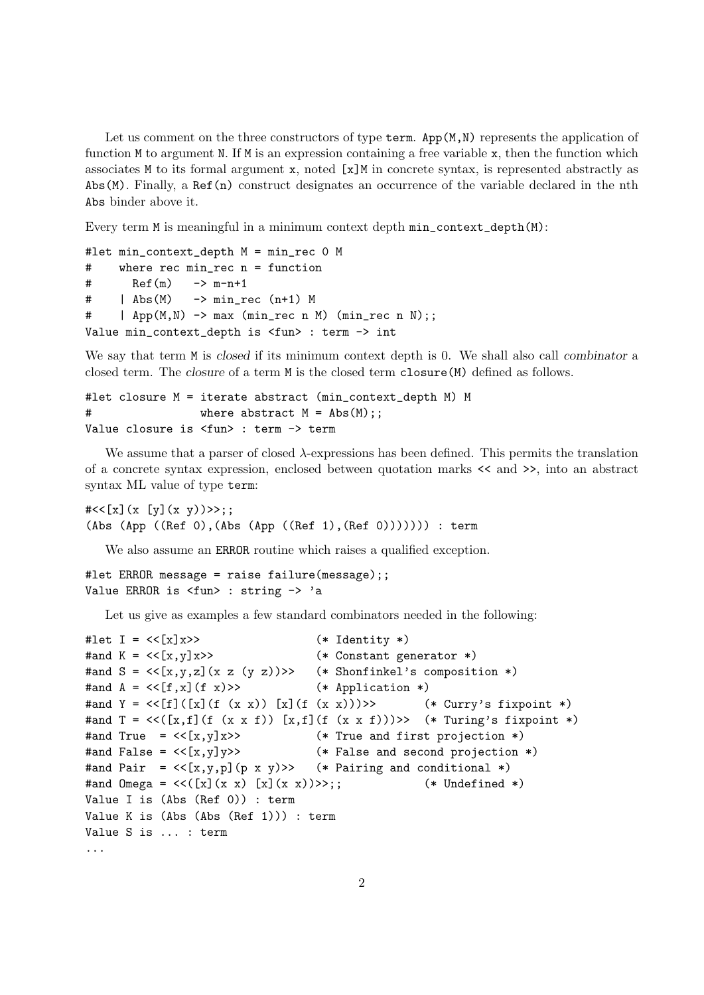Let us comment on the three constructors of type term. App $(M, N)$  represents the application of function M to argument N. If M is an expression containing a free variable x, then the function which associates M to its formal argument x, noted  $[x]$ M in concrete syntax, is represented abstractly as Abs(M). Finally, a Ref(n) construct designates an occurrence of the variable declared in the nth Abs binder above it.

Every term M is meaningful in a minimum context depth min\_context\_depth(M):

```
#let min_context_depth M = min_rec 0 M
# where rec min_rec n = function
# Ref(m) \rightarrow m-n+1
# | Abs(M) -> min_rec (n+1) M
# | App(M,N) -> max (min_rec n M) (min_rec n N);;
Value min_context_depth is <fun> : term -> int
```
We say that term M is closed if its minimum context depth is 0. We shall also call combinator a closed term. The closure of a term M is the closed term closure(M) defined as follows.

```
#let closure M = iterate abstract (min_context_depth M) M
# where abstract M = Abs(M);Value closure is <fun> : term -> term
```
We assume that a parser of closed  $\lambda$ -expressions has been defined. This permits the translation of a concrete syntax expression, enclosed between quotation marks << and >>, into an abstract syntax ML value of type term:

```
#<<[x](x [y](x y))>>;;(Abs (App ((Ref 0),(Abs (App ((Ref 1),(Ref 0))))))) : term
```
We also assume an **ERROR** routine which raises a qualified exception.

```
#let ERROR message = raise failure(message);;
Value ERROR is <fun> : string -> 'a
```
Let us give as examples a few standard combinators needed in the following:

```
#let I = \langle \langle x | x \rangle \rangle (* Identity *)
#and K = \langle \{x,y\} \rangle (* Constant generator *)
#and S = \langle \{x,y,z\} | (x \, z \, (y \, z)) \rangle \rangle (* Shonfinkel's composition *)
#and A = \langle \{f, x\} (f \ x) \rangle (* Application *)
#and Y = \langle \{f\}([x] (f (x x)) [x] (f (x x)))) \rangle (* Curry's fixpoint *)
#and T = \langle \langle [x,f](f(x x f)) [x,f](f(x x f)) \rangle \rangle (* Turing's fixpoint *)
#and True = \langle \cdot | x, y | x \rangle (* True and first projection *)
#and False = \langle x, y \rangle = \langle x, y \rangle = \langle x, y \rangle = \langle x, y \rangle = \langle x, y \rangle = \langle x, y \rangle = \langle x, y \rangle = \langle x, y \rangle = \langle x, y \rangle = \langle x, y \rangle = \langle x, y \rangle = \langle x, y \rangle = \langle x, y \rangle = \langle x, y \rangle = \langle x, y \rangle = \langle x, y \rangle = \langle x, y \rangle = \langle x#and Pair = \langle \langle [x,y,p](p \times y) \rangle \rangle (* Pairing and conditional *)
#and Omega = \langle \langle [x](x \ x) [x](x \ x) \rangle \rangle;; (\ast Undefined \ast)Value I is (Abs (Ref 0)) : term
Value K is (Abs (Abs (Ref 1))) : term
Value S is ... : term
...
```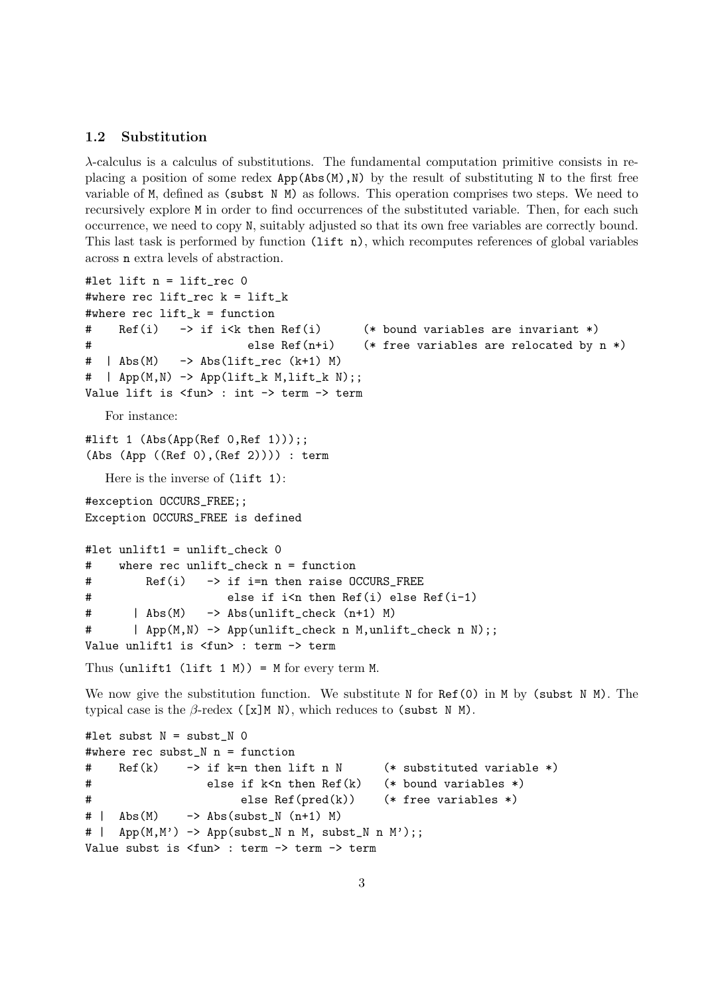## 1.2 Substitution

λ-calculus is a calculus of substitutions. The fundamental computation primitive consists in replacing a position of some redex  $App(Abs(M),N)$  by the result of substituting N to the first free variable of M, defined as (subst N M) as follows. This operation comprises two steps. We need to recursively explore M in order to find occurrences of the substituted variable. Then, for each such occurrence, we need to copy N, suitably adjusted so that its own free variables are correctly bound. This last task is performed by function  $(i$ ift n), which recomputes references of global variables across n extra levels of abstraction.

```
#let lift n = lift_rec 0
#where rec lift_rec k = lift_k
#where rec lift_k = function
# Ref(i) -> if i<k then Ref(i) (* bound variables are invariant *)
# else Ref(n+i) (* free variables are relocated by n *)
# | Abs(M) -> Abs(lift\_rec (k+1) M)\# | App(M,N) \rightarrow App(\text{lift\_k } M, \text{lift\_k } N);Value lift is <fun> : int -> term -> term
  For instance:
#lift 1 (Abs(App(Ref 0,Ref 1)));;
(Abs (App ((Ref 0),(Ref 2)))) : term
  Here is the inverse of (1ift 1):
#exception OCCURS FREE::
Exception OCCURS_FREE is defined
#let unlift1 = unlift_check 0
# where rec unlift_check n = function
# Ref(i) -> if i=n then raise OCCURS_FREE
# else if i<n then Ref(i) else Ref(i-1)
# | Abs(M) -> Abs(unlift_check (n+1) M)
# | App(M,N) -> App(unlift_check n M,unlift_check n N);;
Value unlift1 is <fun> : term -> term
Thus (unlift1 (lift 1 M)) = M for every term M.
```
We now give the substitution function. We substitute  $N$  for  $Ref(0)$  in  $M$  by (subst  $N$   $M$ ). The typical case is the  $\beta$ -redex ([x]M N), which reduces to (subst N M).

```
#let subst N = subst N =#where rec subst_N n = function
# Ref(k) -> if k=n then lift n N (* substituted variable *)
# else if k<n then Ref(k) (* bound variables *)
# else Ref(pred(k)) (* free variables *)
# | Abs(M) \rightarrow Abs(subst_N (n+1) M)
# | App(M,M') -> App(subst_N n M, subst_N n M');;
Value subst is <fun> : term -> term -> term
```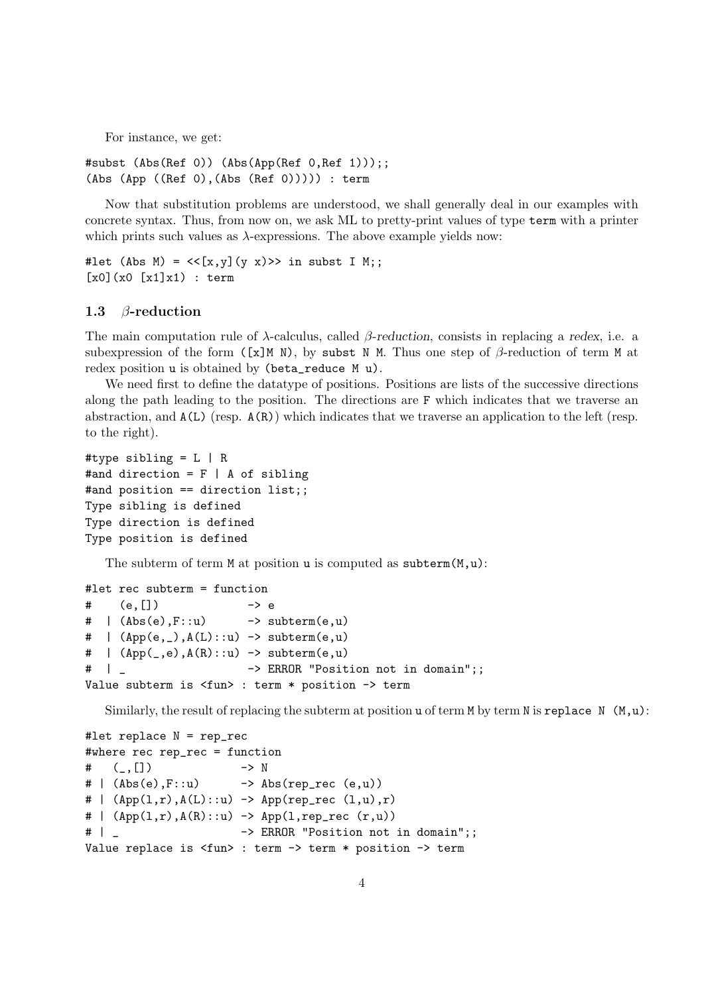For instance, we get:

#subst (Abs(Ref 0)) (Abs(App(Ref 0,Ref 1)));; (Abs (App ((Ref 0),(Abs (Ref 0))))) : term

Now that substitution problems are understood, we shall generally deal in our examples with concrete syntax. Thus, from now on, we ask ML to pretty-print values of type term with a printer which prints such values as  $\lambda$ -expressions. The above example yields now:

```
#let (Abs M) = << [x,y](y x) >> in subst I M;;
[x0](x0 [x1]x1) : term
```
#### 1.3 β-reduction

The main computation rule of  $\lambda$ -calculus, called  $\beta$ -reduction, consists in replacing a redex, i.e. a subexpression of the form ([x]M N), by subst N M. Thus one step of  $\beta$ -reduction of term M at redex position u is obtained by (beta\_reduce M u).

We need first to define the datatype of positions. Positions are lists of the successive directions along the path leading to the position. The directions are F which indicates that we traverse an abstraction, and A(L) (resp. A(R)) which indicates that we traverse an application to the left (resp. to the right).

```
#type sibling = L | R
#and direction = F | A of sibling
#and position == direction list;;
Type sibling is defined
Type direction is defined
Type position is defined
```
The subterm of term  $M$  at position u is computed as subterm $(M, u)$ :

```
#let rec subterm = function
# (e, [] \rightarrow e\# | (Abs(e), F::u) -> subterm(e, u)
# | (App(e, ), A(L)::u) -> subterm(e, u)
\# | (App(<sub>-</sub>,e),A(R)::u) -> subterm(e,u)
# | _ -> ERROR "Position not in domain";;
Value subterm is <fun> : term * position -> term
```
Similarly, the result of replacing the subterm at position  $u$  of term  $M$  by term  $N$  is replace  $N$   $(M, u)$ :

```
#let replace N = rep_rec
#where rec rep_rec = function
\# ( , []) \longrightarrow N# | (Abs(e), F::u) \rightarrow Abs(rep_rec (e,u))
# (App(1,r),A(L):u) -> App(rep_rec (1,u),r)
# ( App(1,r), A(R)::u) -> App(1, rep\_rec (r,u))# | _ -> ERROR "Position not in domain";;
Value replace is <fun> : term -> term * position -> term
```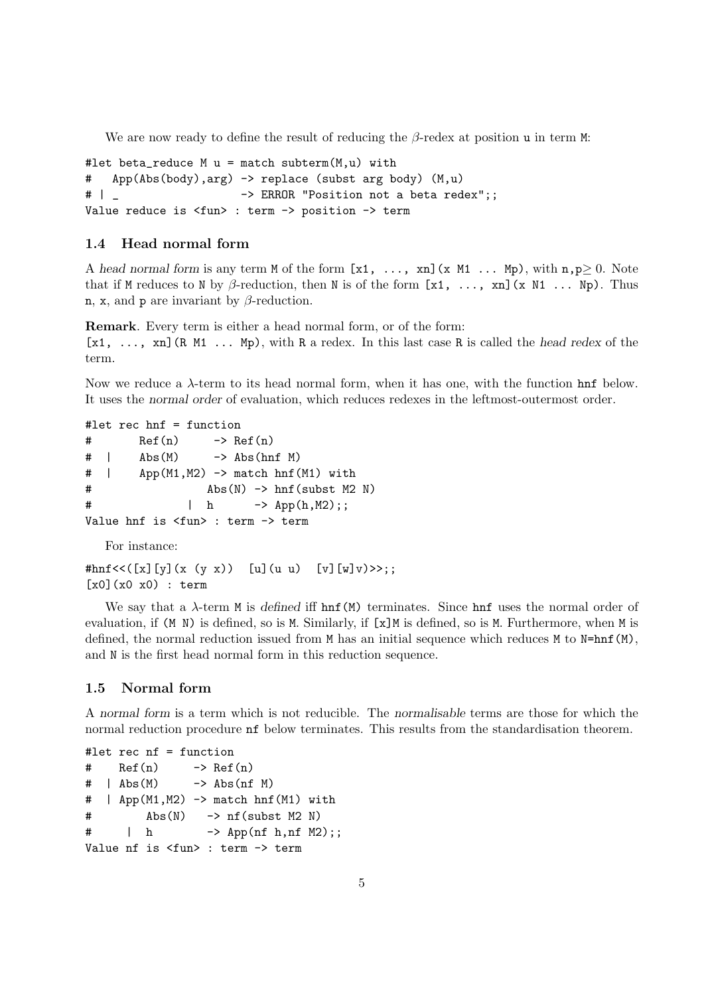We are now ready to define the result of reducing the  $\beta$ -redex at position u in term M:

```
#let beta reduce M u = match subterm(M,u) with
# App(Abs(body),arg) -> replace (subst arg body) (M,u)
# | _ -> ERROR "Position not a beta redex";;
Value reduce is <fun> : term -> position -> term
```
#### 1.4 Head normal form

A head normal form is any term M of the form  $[x1, \ldots, xn]$  (x M1  $\ldots$  Mp), with  $n, p \ge 0$ . Note that if M reduces to N by  $\beta$ -reduction, then N is of the form [x1, ..., xn](x N1 ... Np). Thus n, x, and p are invariant by  $\beta$ -reduction.

Remark. Every term is either a head normal form, or of the form:  $[x1, \ldots, xn]$  (R M1  $\ldots$  Mp), with R a redex. In this last case R is called the head redex of the term.

Now we reduce a  $\lambda$ -term to its head normal form, when it has one, with the function **hnf** below. It uses the normal order of evaluation, which reduces redexes in the leftmost-outermost order.

```
#let rec hnf = function
# Ref(n) \rightarrow Ref(n)
\# | \forall Abs(M) -> \forall Abs(hnf M)
# | App(M1,M2) -> match hnf(M1) with
# Abs(N) -> hnf(subst M2 N)
# | h -> App(h,M2);;
Value hnf is <fun> : term -> term
```
For instance:

```
#hnf << ([x][y](x (y x)) [u](u u) [y][w]y) >>;;
[x0](x0 x0) : term
```
We say that a  $\lambda$ -term M is defined iff  $hnf(M)$  terminates. Since  $hnf$  uses the normal order of evaluation, if (M N) is defined, so is M. Similarly, if [x]M is defined, so is M. Furthermore, when M is defined, the normal reduction issued from M has an initial sequence which reduces M to  $N=hnf(M)$ , and N is the first head normal form in this reduction sequence.

## 1.5 Normal form

A normal form is a term which is not reducible. The normalisable terms are those for which the normal reduction procedure nf below terminates. This results from the standardisation theorem.

```
#let rec nf = function
# Ref(n) \rightarrow Ref(n)
\# | Abs(M) \rightarrow Abs(nf M)
# | App(M1,M2) -> match hnf(M1) with
# Abs(N) \rightarrow nf(subst M2 N)
\# | h \rightarrow App(nf h, nf M2);;
Value nf is <fun> : term -> term
```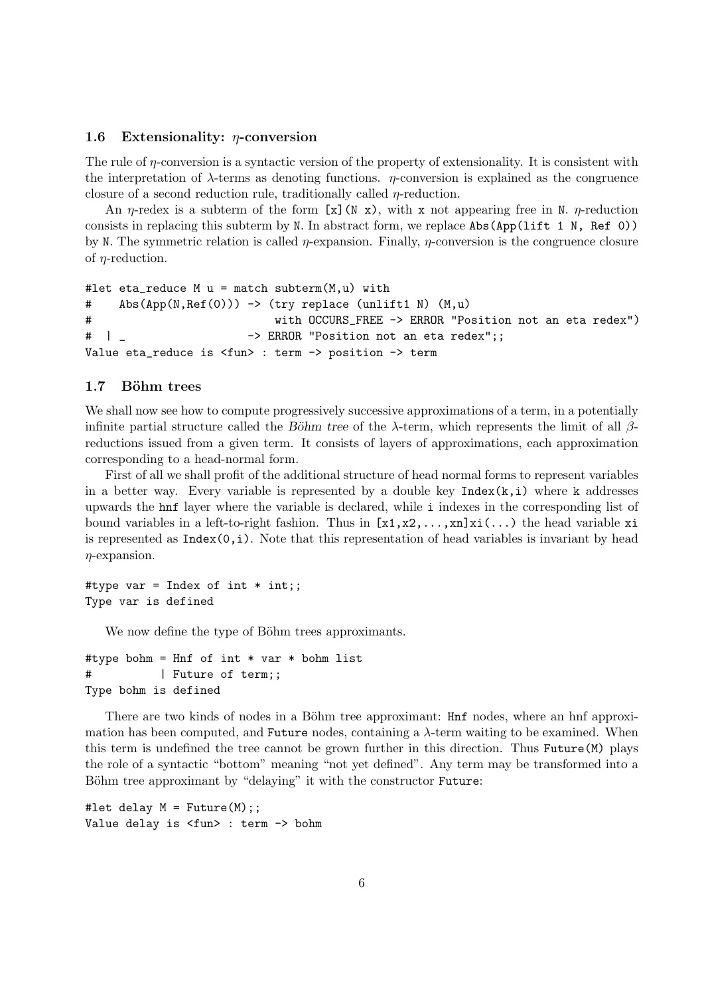#### 1.6 Extensionality:  $\eta$ -conversion

The rule of  $\eta$ -conversion is a syntactic version of the property of extensionality. It is consistent with the interpretation of  $\lambda$ -terms as denoting functions.  $\eta$ -conversion is explained as the congruence closure of a second reduction rule, traditionally called  $\eta$ -reduction.

An  $\eta$ -redex is a subterm of the form [x](N x), with x not appearing free in N.  $\eta$ -reduction consists in replacing this subterm by N. In abstract form, we replace Abs(App(lift 1 N, Ref 0)) by N. The symmetric relation is called  $\eta$ -expansion. Finally,  $\eta$ -conversion is the congruence closure of  $\eta$ -reduction.

```
#let eta_reduce M u = match subterm(M, u) with
# Abs(App(N,Ref(0))) -> (try replace (unlift1 N) (M,u)
# with OCCURS_FREE -> ERROR "Position not an eta redex")
# | _ -> ERROR "Position not an eta redex";;
Value eta_reduce is <fun> : term -> position -> term
```
## 1.7 Böhm trees

We shall now see how to compute progressively successive approximations of a term, in a potentially infinite partial structure called the Böhm tree of the  $\lambda$ -term, which represents the limit of all  $\beta$ reductions issued from a given term. It consists of layers of approximations, each approximation corresponding to a head-normal form.

First of all we shall profit of the additional structure of head normal forms to represent variables in a better way. Every variable is represented by a double key  $Index(k,i)$  where k addresses upwards the hnf layer where the variable is declared, while i indexes in the corresponding list of bound variables in a left-to-right fashion. Thus in  $[x1, x2,..., xn]xi(...)$  the head variable xi is represented as  $Index(0,i)$ . Note that this representation of head variables is invariant by head  $\eta$ -expansion.

#type var = Index of int  $*$  int;; Type var is defined

We now define the type of Böhm trees approximants.

```
#type bohm = Hnf of int * var * bohm list
# | Future of term;;
Type bohm is defined
```
There are two kinds of nodes in a Böhm tree approximant:  $\text{Hnf}$  nodes, where an hnf approximation has been computed, and Future nodes, containing a  $\lambda$ -term waiting to be examined. When this term is undefined the tree cannot be grown further in this direction. Thus Future(M) plays the role of a syntactic "bottom" meaning "not yet defined". Any term may be transformed into a Böhm tree approximant by "delaying" it with the constructor Future:

```
#let delay M = Future(M);;
Value delay is <fun> : term -> bohm
```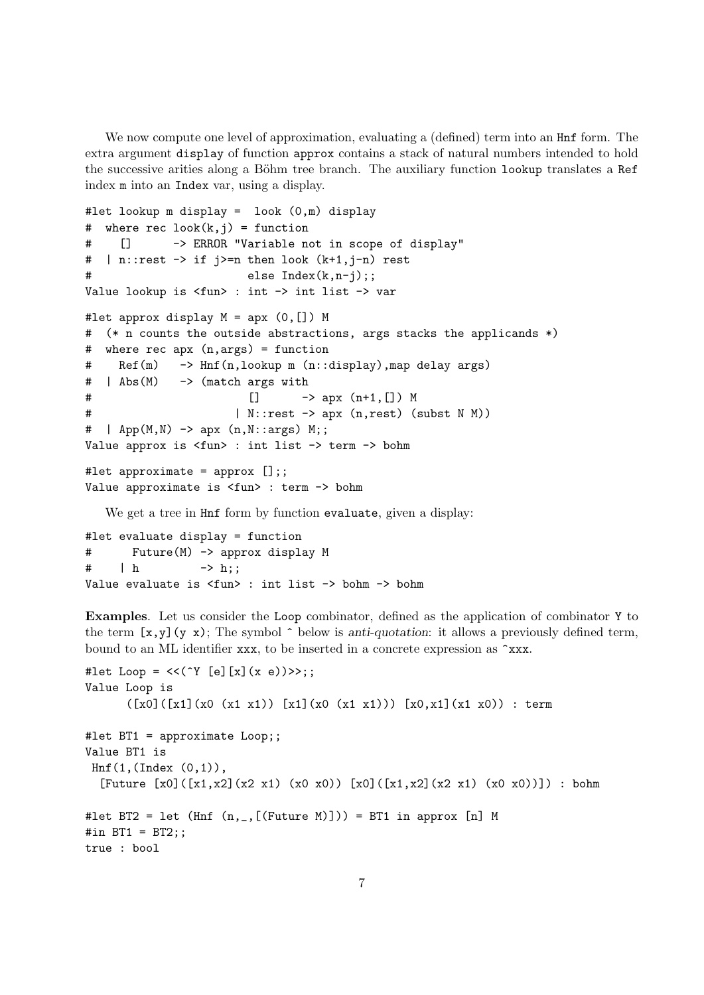We now compute one level of approximation, evaluating a (defined) term into an  $\text{Hnf}$  form. The extra argument display of function approx contains a stack of natural numbers intended to hold the successive arities along a Böhm tree branch. The auxiliary function lookup translates a Ref index m into an Index var, using a display.

```
#let lookup m display = look (0,m) display
# where rec look(k, j) = function# [] -> ERROR "Variable not in scope of display"
# | n::rest \rightarrow if j>=n then look (k+1,j-n) rest
# else Index(k,n-j);;
Value lookup is <fun> : int -> int list -> var
#let approx display M = apx (0, []) M
# (* n counts the outside abstractions, args stacks the applicands *)
# where rec apx (n,args) = function
# Ref(m) -> Hnf(n,lookup m (n::display),map delay args)
# | Abs(M) -> (match args with
# [] -> apx (n+1,[]) M
# | N::rest -> apx (n,rest) (subst N M))
# | App(M,N) -> apx (n,N::args) M;;
Value approx is <fun> : int list -> term -> bohm
#let approximate = approx [];;
Value approximate is <fun> : term -> bohm
```
We get a tree in Hnf form by function evaluate, given a display:

```
#let evaluate display = function
# Future(M) -> approx display M
# | h -> h;;
Value evaluate is <fun> : int list -> bohm -> bohm
```
Examples. Let us consider the Loop combinator, defined as the application of combinator Y to the term  $[x,y](y x)$ ; The symbol  $\hat{\ }$  below is anti-quotation: it allows a previously defined term, bound to an ML identifier xxx, to be inserted in a concrete expression as ^xxx.

```
#let Loop = << (^Y [e][x](x e))>>;;
Value Loop is
      ([x0]([x1] (x0 (x1 x1)) [x1] (x0 (x1 x1))) [x0, x1] (x1 x0)) : term#let BT1 = approximate Loop;;
Value BT1 is
Hnf(1,(Index (0,1)),
  [Future [x0]([x1,x2](x2 x1) (x0 x0)) [x0]([x1,x2](x2 x1) (x0 x0))]) : bohm
#let BT2 = let (Hnf (n, _{F}[(Future M)])) = BT1 in approx [n] M#in BT1 = BT2;;
true : bool
```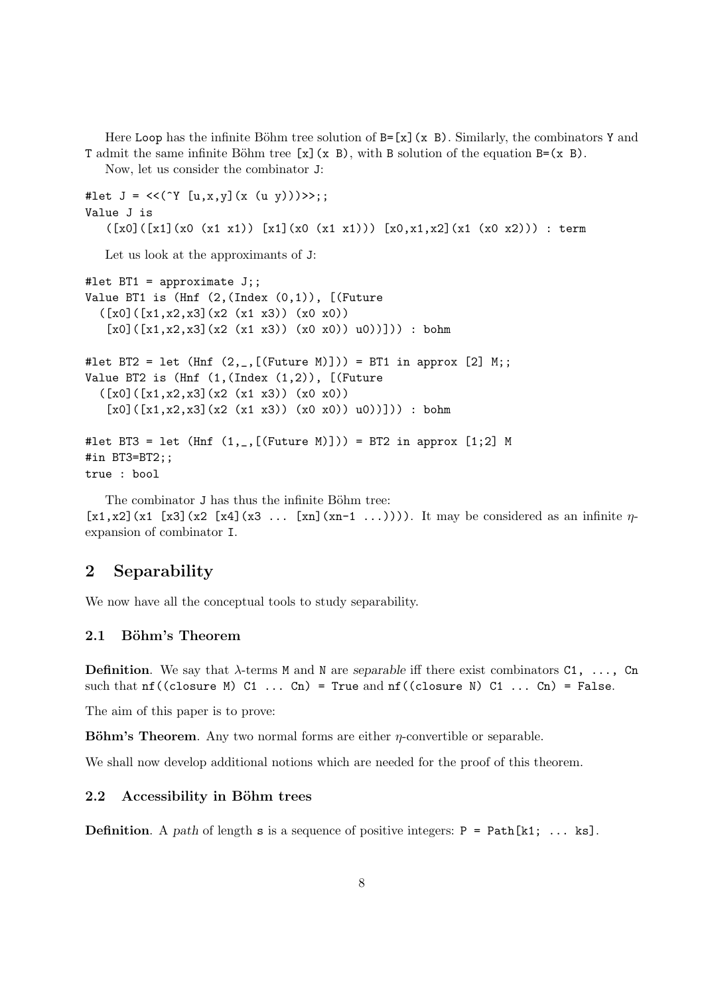Here Loop has the infinite Böhm tree solution of  $B=[x](x, B)$ . Similarly, the combinators Y and T admit the same infinite Böhm tree  $[x](x, B)$ , with B solution of the equation B=(x B).

Now, let us consider the combinator J:

```
#let J = \langle \langle (Y [u, x, y](x (u y))) \rangle \rangle;;
Value J is
    ([x0]([x1] (x0 (x1 x1)) [x1] (x0 (x1 x1))) [x0,x1,x2] (x1 (x0 x2))) : term
```
Let us look at the approximants of J:

```
#let BT1 = approximate J;;
Value BT1 is (Hnf (2,(Index (0,1)), [(Future([x0]([x1,x2,x3](x2 (x1 x3)) (x0 x0))[x0]([x1,x2,x3](x2 (x1 x3)) (x0 x0)) u0))]) : bohm
#let BT2 = let (Hnf (2, _{r}[(Future M)])) = BT1 in approx [2] M;;
Value BT2 is (Hnf (1,(Index (1,2)), [(Future
  ([x0]([x1,x2,x3](x2(x1 x3)) (x0 x0))[x0]([x1, x2, x3](x2 (x1 x3)) (x0 x0)) u0)]))) : bohm
#let BT3 = let (Hnf(1, , [(Future M)])) = BT2 in approx [1;2] M
#in BT3=BT2;;
true : bool
```
The combinator J has thus the infinite Böhm tree:  $[x1, x2]$ (x1 [x3](x2 [x4](x3 ... [xn](xn-1 ...)))). It may be considered as an infinite  $\eta$ expansion of combinator I.

# 2 Separability

We now have all the conceptual tools to study separability.

## 2.1 Böhm's Theorem

**Definition.** We say that  $\lambda$ -terms M and N are separable iff there exist combinators C1, ..., Cn such that  $nf((closure M) C1 ... Cn) = True and nf((closure N) C1 ... Cn) = False.$ 

The aim of this paper is to prove:

**Böhm's Theorem.** Any two normal forms are either  $\eta$ -convertible or separable.

We shall now develop additional notions which are needed for the proof of this theorem.

## 2.2 Accessibility in Böhm trees

**Definition.** A path of length s is a sequence of positive integers:  $P = Path[k1; \ldots ks]$ .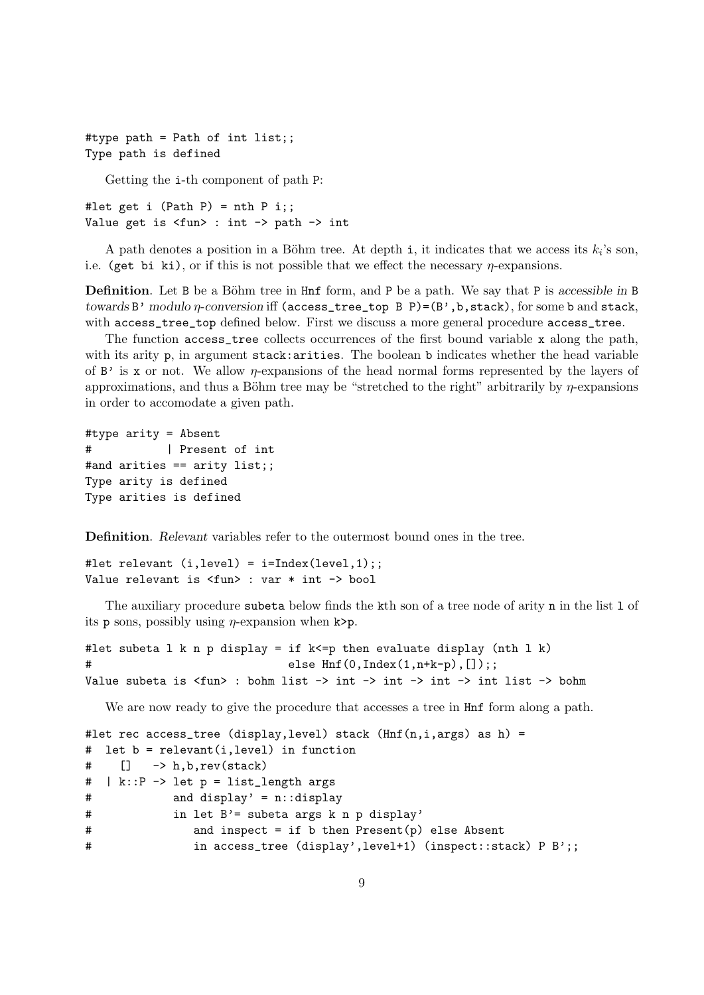#type path = Path of int list;; Type path is defined

Getting the i-th component of path P:

#let get i (Path P) = nth P i;; Value get is <fun> : int -> path -> int

A path denotes a position in a Böhm tree. At depth i, it indicates that we access its  $k_i$ 's son, i.e. (get bi ki), or if this is not possible that we effect the necessary  $\eta$ -expansions.

**Definition**. Let B be a Böhm tree in Hnf form, and P be a path. We say that P is accessible in B towards B' modulo η-conversion iff (access\_tree\_top B P)=(B',b,stack), for some b and stack, with access\_tree\_top defined below. First we discuss a more general procedure access\_tree.

The function access\_tree collects occurrences of the first bound variable x along the path, with its arity  $p$ , in argument stack: arities. The boolean b indicates whether the head variable of  $B'$  is x or not. We allow *n*-expansions of the head normal forms represented by the layers of approximations, and thus a Böhm tree may be "stretched to the right" arbitrarily by  $\eta$ -expansions in order to accomodate a given path.

```
#type arity = Absent
# | Present of int
#and arities == arity list;;
Type arity is defined
Type arities is defined
```
Definition. Relevant variables refer to the outermost bound ones in the tree.

```
#let relevant (i.length) = i=Index(level, 1);Value relevant is <fun> : var * int -> bool
```
The auxiliary procedure subeta below finds the kth son of a tree node of arity n in the list 1 of its p sons, possibly using  $\eta$ -expansion when k>p.

```
#let subeta 1 k n p display = if k \le p then evaluate display (nth 1 k)
# else Hnf(0,Index(1,n+k-p),[]);;
Value subeta is <fun> : bohm list -> int -> int -> int -> int list -> bohm
```
We are now ready to give the procedure that accesses a tree in Hnf form along a path.

```
#let rec access_tree (display, level) stack (Hnf(n,i,args) as h) =
# let b = relevant(i,level) in function
# [] -> h,b,rev(stack)
# | k::P -> let p = list_length args
# and display' = n::display
# in let B'= subeta args k n p display'
# and inspect = if b then Present(p) else Absent
# in access_tree (display',level+1) (inspect::stack) P B';;
```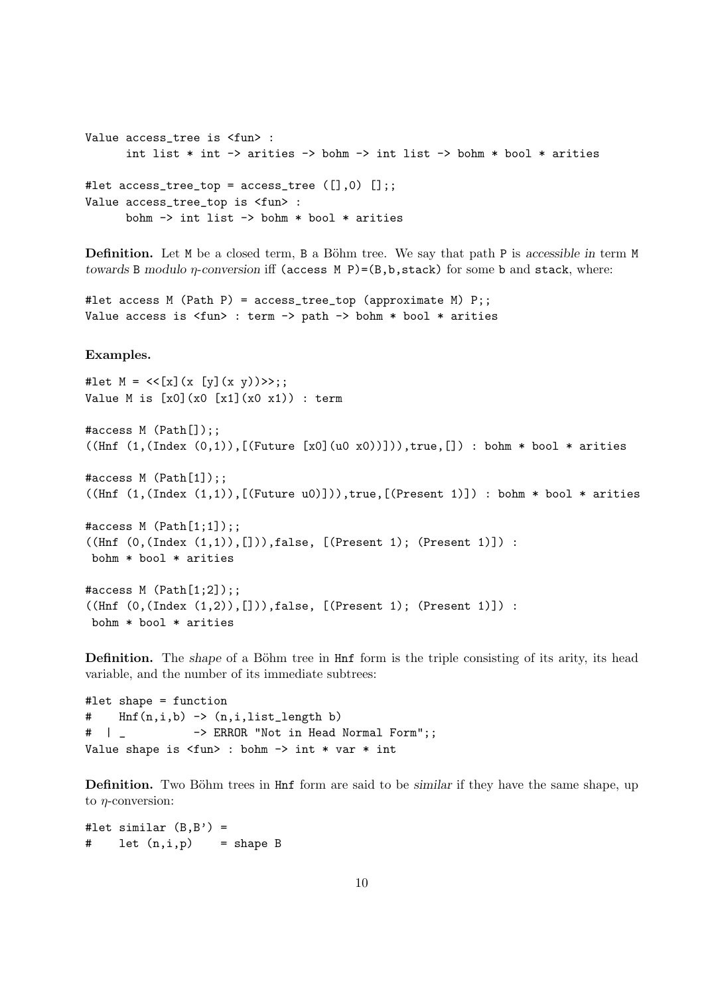```
Value access_tree is <fun> :
      int list * int -> arities -> bohm -> int list -> bohm * bool * arities
#let access\_tree\_top = access\_tree([], 0) [];Value access_tree_top is <fun> :
      bohm -> int list -> bohm * bool * arities
```
**Definition.** Let  $M$  be a closed term,  $B$  a Böhm tree. We say that path P is accessible in term  $M$ towards B modulo  $\eta$ -conversion iff (access M P)=(B,b,stack) for some b and stack, where:

```
#let access M (Path P) = access_tree_top (approximate M) P;;
Value access is <fun> : term -> path -> bohm * bool * arities
```
## Examples.

```
#let M = \langle \langle [x](x [y](x y)) \rangle \rangle;;
Value M is [x0](x0 [x1](x0 x1)) : term
```

```
#access M (Path[]);;
((\text{Inf } (1,(\text{Index } (0,1)),[(\text{Future } [x0](u0 x0))])), true, []) : bohm * bool * arities
#access M (Path[1]);;
((\text{Hnf } (1,(\text{Index } (1,1)),[(\text{Future } u0)])), \text{true},[(\text{Present } 1)]) : bohm * bool * arities
#access M (Path[1;1]);;
((\text{Inf } (0,(\text{Index } (1,1)),[])),\text{false}, [(\text{Present 1}); (\text{Present 1})]) :bohm * bool * arities
```

```
#access M (Path[1;2]);;
((\text{Inf } (0, (\text{Index } (1,2)),[])), false, [(\text{Present } 1); (\text{Present } 1)]):
 bohm * bool * arities
```
**Definition.** The shape of a Böhm tree in Hnf form is the triple consisting of its arity, its head variable, and the number of its immediate subtrees:

```
#let shape = function
# Hnf(n,i,b) -> (n,i,list_length b)
# | _ -> ERROR "Not in Head Normal Form";;
Value shape is <fun> : bohm -> int * var * int
```
**Definition.** Two Böhm trees in Hnf form are said to be *similar* if they have the same shape, up to  $\eta$ -conversion:

#let similar  $(B, B') =$ # let (n,i,p) = shape B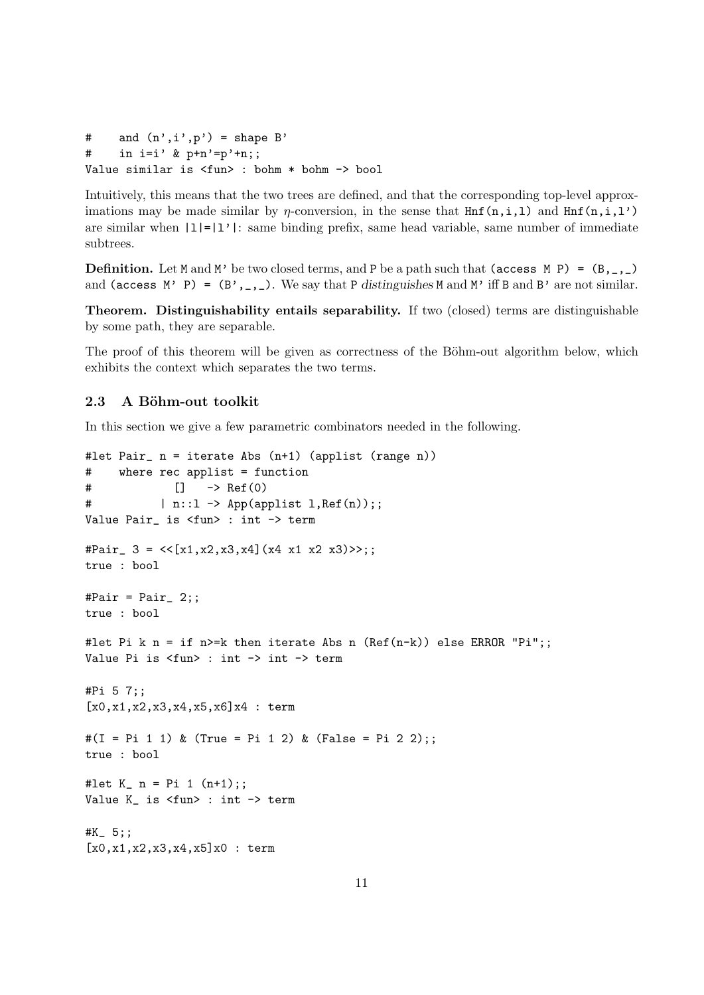```
# and (n', i', p') = shape B'
# in i=i' & p+n' = p'+n;;
Value similar is <fun> : bohm * bohm -> bool
```
Intuitively, this means that the two trees are defined, and that the corresponding top-level approximations may be made similar by  $\eta$ -conversion, in the sense that  $\text{Hnf}(n,i,l)$  and  $\text{Hnf}(n,i,l')$ are similar when  $|1|=|1'|\cdot|$ : same binding prefix, same head variable, same number of immediate subtrees.

**Definition.** Let M and M' be two closed terms, and P be a path such that (access M P) =  $(B, \_, \_)$ and (access M' P) =  $(B', , , )$ . We say that P distinguishes M and M' iff B and B' are not similar.

Theorem. Distinguishability entails separability. If two (closed) terms are distinguishable by some path, they are separable.

The proof of this theorem will be given as correctness of the Böhm-out algorithm below, which exhibits the context which separates the two terms.

## 2.3 A Böhm-out toolkit

In this section we give a few parametric combinators needed in the following.

```
#let Pair_ n = iterate Abs (n+1) (applist (range n))
# where rec applist = function
# [] -> Ref(0)
\# | n::1 -> App(applist 1, Ref(n));;
Value Pair_ is <fun> : int -> term
#Pair_ 3 = \langle[x1,x2,x3,x4](x4 x1 x2 x3)>>;;
true : bool
#Pair = Pair_2;
true : bool
#let Pi k n = if n>=k then iterate Abs n (Ref(n-k)) else ERROR "Pi";;
Value Pi is <fun> : int -> int -> term
#Pi 5 7;;
[x0, x1, x2, x3, x4, x5, x6] x4 : term\#(I = Pi 1 1) & (True = Pi 1 2) & (False = Pi 2 2);;
true : bool
#let K_n = Pi 1 (n+1);Value K_ is <fun> : int -> term
#K_ 5;;
[x0, x1, x2, x3, x4, x5]x0: term
```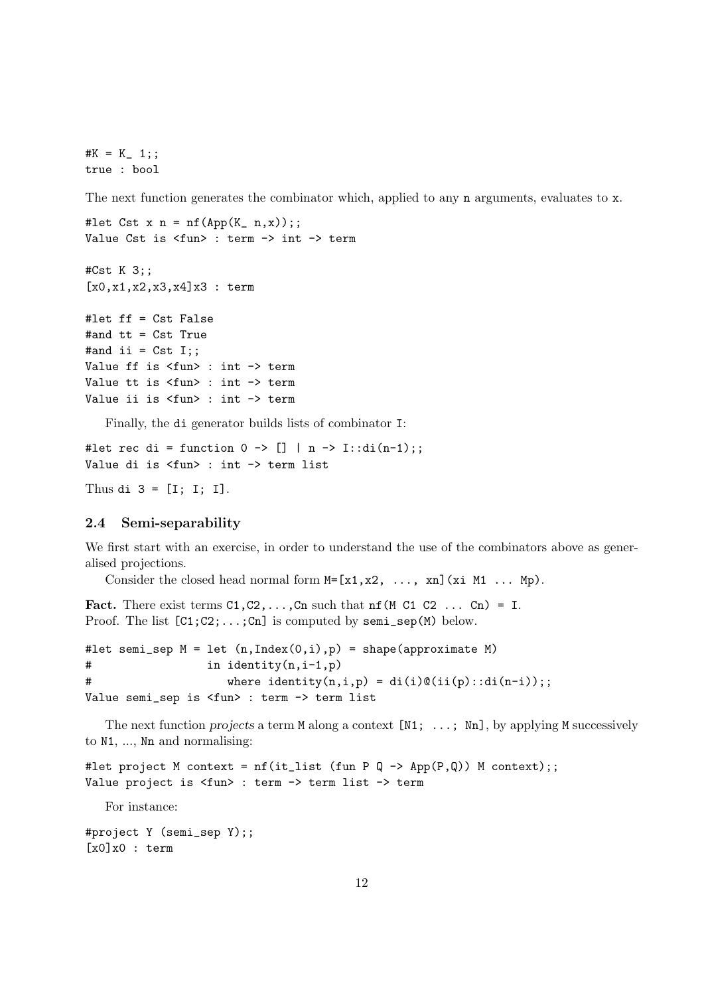$#K = K_ 1;$ ; true : bool

The next function generates the combinator which, applied to any **n** arguments, evaluates to **x**.

```
#let Cst x n = nf(App(K_n, x));;
Value Cst is <fun> : term -> int -> term
```

```
#Cst K 3;;
[x0, x1, x2, x3, x4]x3 : term
```

```
#let ff = Cst False
#and tt = Cst True
#and ii = Cst I;;
Value ff is <fun> : int -> term
Value tt is <fun> : int -> term
Value ii is <fun> : int -> term
```
Finally, the di generator builds lists of combinator I:

#let rec di = function  $0 \rightarrow [] | n \rightarrow I::di(n-1);$ Value di is <fun> : int -> term list

```
Thus di 3 = [I; I; I].
```
## 2.4 Semi-separability

We first start with an exercise, in order to understand the use of the combinators above as generalised projections.

Consider the closed head normal form  $M=[x1, x2, \ldots, xn]$  (xi M1 ... Mp).

```
Fact. There exist terms C1, C2, \ldots, Cn such that nf(M C1 C2 \ldots Cn) = I.
Proof. The list [C1;C2;\ldots;Cn] is computed by semi_sep(M) below.
```

```
#let semi_sep M = let (n, Index(0,i), p) = shape(approximate M)# in identity(n,i-1,p)
# where identity(n,i,p) = di(i)\mathcal{O}(ii(p): di(n-i));;
Value semi_sep is <fun> : term -> term list
```
The next function projects a term M along a context  $[N1; \ldots; Nn]$ , by applying M successively to N1, ..., Nn and normalising:

#let project M context =  $nf(it_list$  (fun P Q -> App(P,Q)) M context);; Value project is <fun> : term -> term list -> term

For instance:

#project Y (semi\_sep Y);;  $[x0]x0$  : term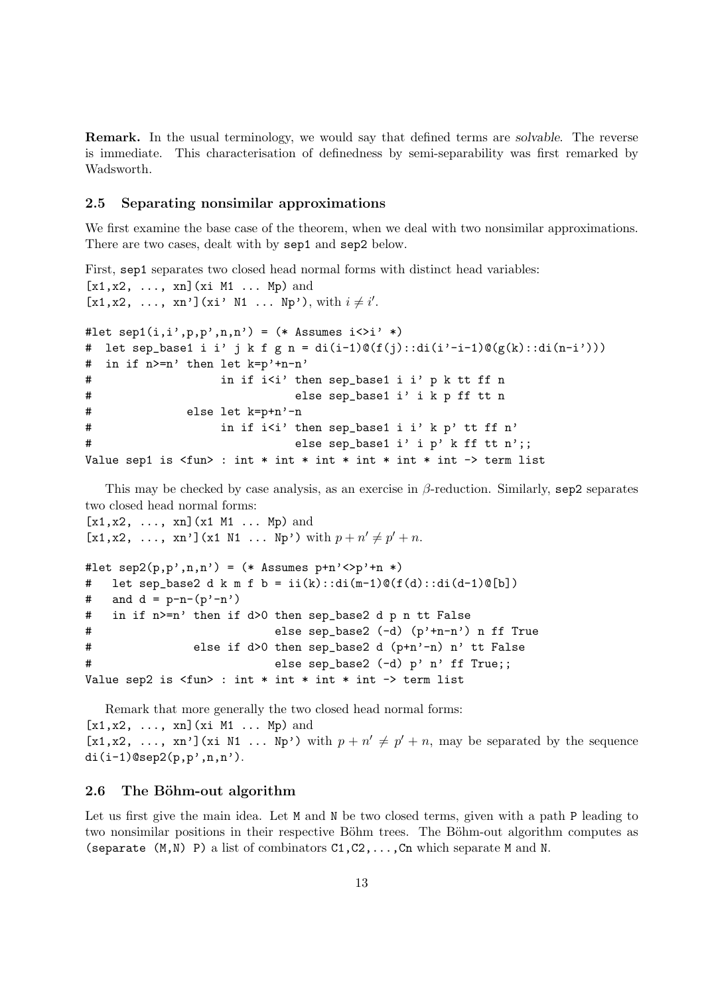Remark. In the usual terminology, we would say that defined terms are solvable. The reverse is immediate. This characterisation of definedness by semi-separability was first remarked by Wadsworth.

## 2.5 Separating nonsimilar approximations

We first examine the base case of the theorem, when we deal with two nonsimilar approximations. There are two cases, dealt with by sep1 and sep2 below.

```
First, sep1 separates two closed head normal forms with distinct head variables:
[x1, x2, \ldots, xn](xi M1 \ldots Mp) and
[x1,x2, ..., xn'](xi' N1 ... Np'), with i \neq i'.
#let sep1(i,i',p,p',n,n') = (* Assumes i \leq i' *)
# let sep_base1 i i' j k f g n = di(i-1) O(f(j)) ::di(i'-i-1) O(g(k) ::di(n-i')))
# in if n>=n' then let k=p'+n-n'
# in if i<i' then sep_base1 i i' p k tt ff n
# else sep_base1 i' i k p ff tt n
# else let k=p+n'-n
# in if i<i' then sep_base1 i i' k p' tt ff n'
# else sep_base1 i' i p' k ff tt n';;
Value sep1 is \langlefun> : int * int * int * int * int * int -> term list
```
This may be checked by case analysis, as an exercise in  $\beta$ -reduction. Similarly, sep2 separates two closed head normal forms:

 $[x1, x2, ..., xn](x1 M1 ... Mp)$  and [x1,x2, ..., xn'](x1 N1 ... Np') with  $p + n' \neq p' + n$ .

```
#let sep2(p, p', n, n') = (* Assumes p+n' \langle p'+n * \rangle# let sep_base2 d k m f b = ii(k)::di(m-1)@(f(d)::di(d-1)@[b])
# and d = p-n-(p'-n')# in if n>=n' then if d>0 then sep_base2 d p n tt False
# else sep_base2 (-d) (p'+n-n') n ff True
# else if d>0 then sep_base2 d (p+n'-n) n' tt False
# else sep_base2 (-d) p' n' ff True;;
Value sep2 is \langlefun> : int * int * int * int -> term list
```
Remark that more generally the two closed head normal forms:  $[x1, x2, \ldots, xn]$  (xi M1 ... Mp) and [x1,x2, ..., xn'](xi N1 ... Np') with  $p + n' \neq p' + n$ , may be separated by the sequence  $di(i-1)$ @sep2(p,p',n,n').

#### 2.6 The Böhm-out algorithm

Let us first give the main idea. Let M and N be two closed terms, given with a path P leading to two nonsimilar positions in their respective Böhm trees. The Böhm-out algorithm computes as (separate  $(M, N)$  P) a list of combinators  $C1, C2, \ldots, Cn$  which separate M and N.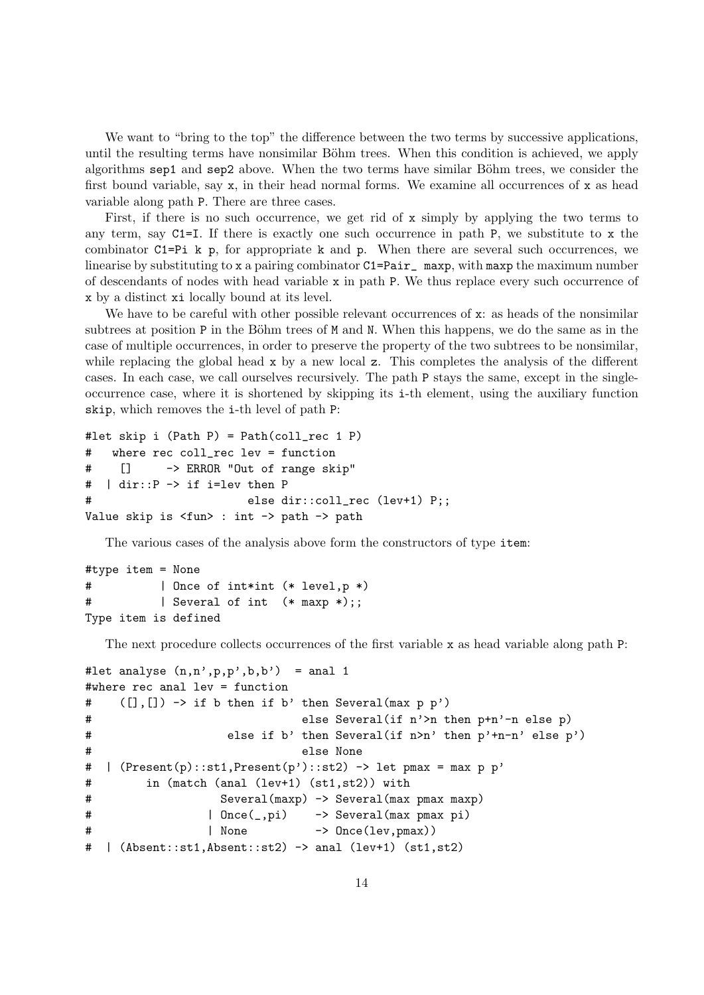We want to "bring to the top" the difference between the two terms by successive applications, until the resulting terms have nonsimilar Böhm trees. When this condition is achieved, we apply algorithms sep1 and sep2 above. When the two terms have similar Böhm trees, we consider the first bound variable, say  $x$ , in their head normal forms. We examine all occurrences of  $x$  as head variable along path P. There are three cases.

First, if there is no such occurrence, we get rid of x simply by applying the two terms to any term, say C1=I. If there is exactly one such occurrence in path P, we substitute to x the combinator C1=Pi k p, for appropriate k and p. When there are several such occurrences, we linearise by substituting to x a pairing combinator  $C1 = Pair$  maxp, with maxp the maximum number of descendants of nodes with head variable x in path P. We thus replace every such occurrence of x by a distinct xi locally bound at its level.

We have to be careful with other possible relevant occurrences of x: as heads of the nonsimilar subtrees at position P in the Böhm trees of M and N. When this happens, we do the same as in the case of multiple occurrences, in order to preserve the property of the two subtrees to be nonsimilar, while replacing the global head x by a new local z. This completes the analysis of the different cases. In each case, we call ourselves recursively. The path P stays the same, except in the singleoccurrence case, where it is shortened by skipping its i-th element, using the auxiliary function skip, which removes the i-th level of path P:

```
#let skip i (Path P) = Path(coll_rec 1 P)
# where rec coll_rec lev = function
# [] -> ERROR "Out of range skip"
# | dir::P -> if i=lev then P
                       else dir::coll_rec (lev+1) P;;
Value skip is <fun> : int -> path -> path
```
The various cases of the analysis above form the constructors of type item:

```
#type item = None
# | Once of int*int (* level,p *)
# | Several of int (* maxp *);;
Type item is defined
```
The next procedure collects occurrences of the first variable x as head variable along path P:

```
#let analyse (n,n',p,p',b,b') = anal 1
#where rec anal lev = function
# ([],[]) -> if b then if b' then Several(max p p')
# else Several(if n'>n then p+n'-n else p)
# else if b' then Several(if n>n' then p'+n-n' else p')
# else None
# | (Present(p)::st1,Present(p')::st2) -> let pmax = max p p'
# in (match (anal (lev+1) (st1,st2)) with
# Several(maxp) -> Several(max pmax maxp)
# | Once(_,pi) -> Several(max pmax pi)
# | None -> Once(lev,pmax))
# | (Absent::st1,Absent::st2) -> anal (lev+1) (st1,st2)
```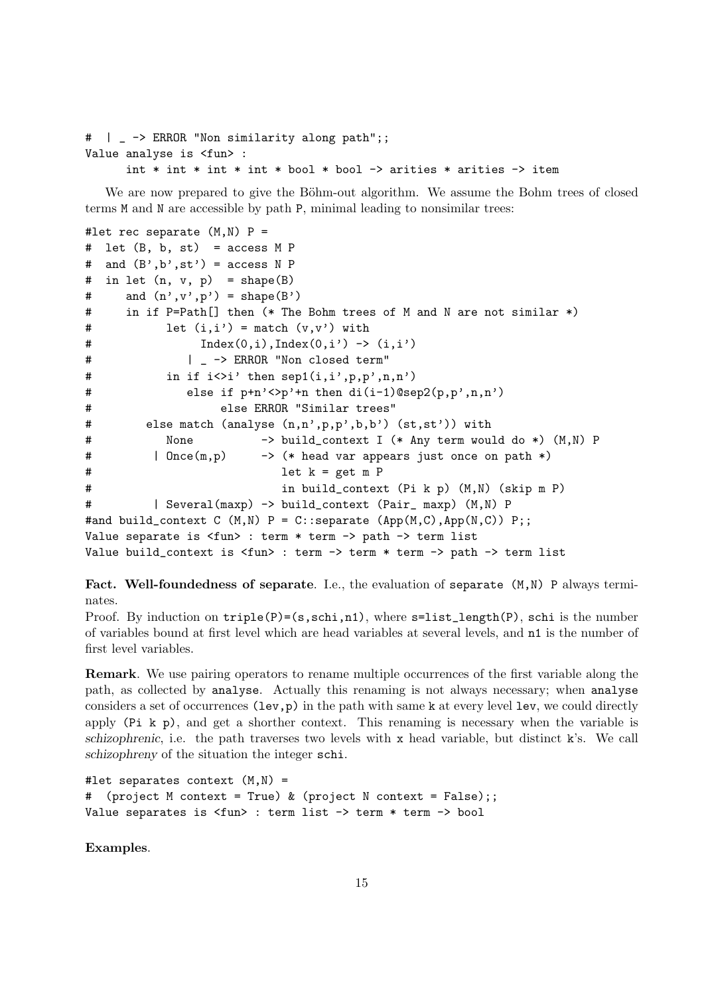```
# | _ -> ERROR "Non similarity along path";;
Value analyse is <fun> :
      int * int * int * int * bool * bool -> arities * arities -> item
```
We are now prepared to give the Böhm-out algorithm. We assume the Bohm trees of closed terms M and N are accessible by path P, minimal leading to nonsimilar trees:

```
#let rec separate (M,N) P =
# let (B, b, st) = access M P
# and (B', b', st') = access N P# in let (n, v, p) = shape(B)# and (n', v', p') = shape(B')
# in if P=Path[] then (* The Bohm trees of M and N are not similar *)
# let (i,i') = match (v,v') with
\text{Index}(0, i), \text{Index}(0, i') \rightarrow (i, i')# | -> ERROR "Non closed term"
# in if i \leq i' then \text{sep1}(i,i',p,p',n,n')# else if p+n'<>p'+n then di(i-1)@sep2(p,p',n,n')
# else ERROR "Similar trees"
# else match (analyse (n,n',p,p',b,b') (st,st')) with
# None -> build_context I (* Any term would do *) (M,N) P
# | Once(m,p) -> (* head var appears just once on path *)
# let k = get m P
# in build_context (Pi k p) (M,N) (skip m P)
# | Several(maxp) -> build_context (Pair_ maxp) (M,N) P
#and build_context C (M,N) P = C::separate (App(M,C),App(N,C)) P;;
Value separate is <fun> : term * term -> path -> term list
Value build_context is <fun> : term -> term * term -> path -> term list
```
Fact. Well-foundedness of separate. I.e., the evaluation of separate  $(M,N)$  P always terminates.

Proof. By induction on  $\text{triple}(P)=(s,\text{schi},n1)$ , where  $s=list_length(P), \text{ schi}$  is the number of variables bound at first level which are head variables at several levels, and n1 is the number of first level variables.

Remark. We use pairing operators to rename multiple occurrences of the first variable along the path, as collected by analyse. Actually this renaming is not always necessary; when analyse considers a set of occurrences  $(\text{lev}, p)$  in the path with same k at every level lev, we could directly apply (Pi k p), and get a shorther context. This renaming is necessary when the variable is schizophrenic, i.e. the path traverses two levels with x head variable, but distinct  $k$ 's. We call schizophreny of the situation the integer schi.

```
#let separates context (M,N) =
# (project M context = True) & (project N context = False);;
Value separates is <fun> : term list -> term * term -> bool
```
Examples.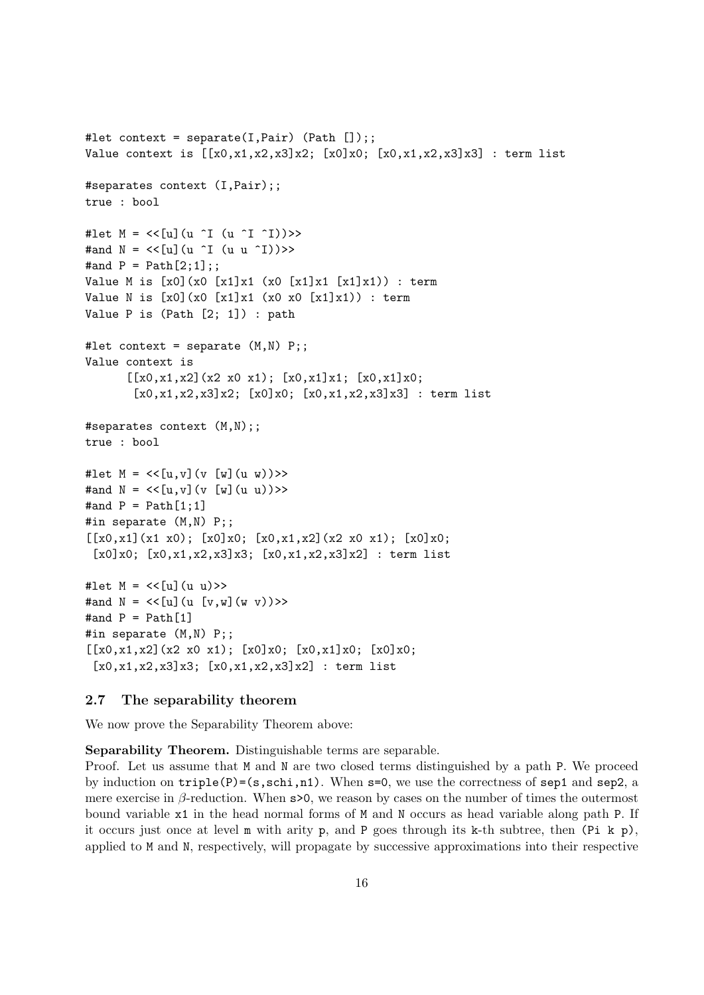```
#let context = separate(I,Pair) (Path []);;
Value context is [[x0,x1,x2,x3]x2; [x0]x0; [x0,x1,x2,x3]x3] : term list
#separates context (I,Pair);;
true : bool
#let M = \langle \langle [u] (u^T I (u^T I)^2) \rangle \rangle#and N = \langle \langle [u] (u^T (u^T) ) \rangle \rangle#and P = Path[2;1];Value M is [x0](x0) [x1]x1 (x0) [x1]x1 [x1]x1) : term
Value N is [x0](x0 [x1]x1 (x0 x0 [x1]x1)) : term
Value P is (Path [2; 1]) : path
#let context = separate (M,N) P;;
Value context is
       [[x0, x1, x2](x2 x0 x1); [x0, x1]x1; [x0, x1]x0;[x0, x1, x2, x3]x2; [x0]x0; [x0, x1, x2, x3]x3] : term list
#separates context (M,N);;
true : bool
#let M = \langle \langle [u,v](v, [w](u, w)) \rangle \rangle#and N = \langle \{u, v\} | (v \{w\} (u \ u)) \rangle \rangle#and P = Path[1;1]#in separate (M,N) P;;
[[x0,x1](x1 x0); [x0]x0; [x0,x1,x2](x2 x0 x1); [x0]x0;[x0]x0; [x0,x1,x2,x3]x3; [x0,x1,x2,x3]x2] : term list
#let M = \langle \{u\} (u \ u) \rangle#and N = \langle \{u\} (u \{v,w\}(w \ v)) \rangle#and P = Path[1]#in separate (M,N) P;;
[[x0,x1,x2](x2 x0 x1); [x0]x0; [x0,x1]x0; [x0]x0;
 [x0, x1, x2, x3]x3; [x0, x1, x2, x3]x2] : term list
```
## 2.7 The separability theorem

We now prove the Separability Theorem above:

Separability Theorem. Distinguishable terms are separable.

Proof. Let us assume that M and N are two closed terms distinguished by a path P. We proceed by induction on  $\text{triple}(P)=(s,\text{schi},n1)$ . When  $s=0$ , we use the correctness of  $\text{sep1}$  and  $\text{sep2}$ , a mere exercise in  $\beta$ -reduction. When s>0, we reason by cases on the number of times the outermost bound variable x1 in the head normal forms of M and N occurs as head variable along path P. If it occurs just once at level m with arity p, and P goes through its k-th subtree, then (Pi k p), applied to M and N, respectively, will propagate by successive approximations into their respective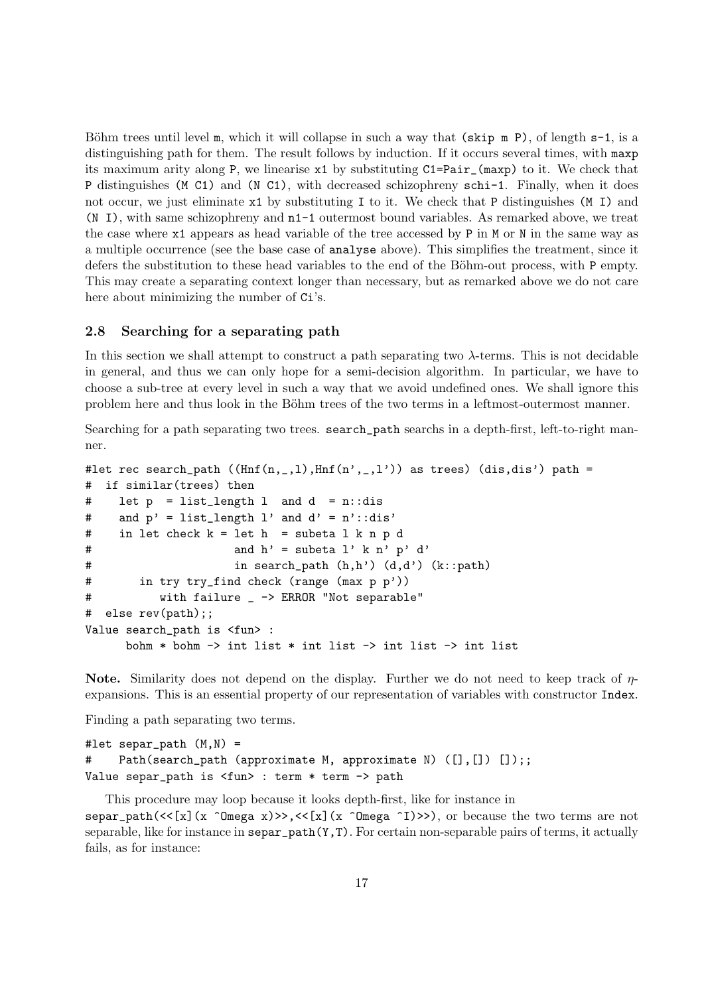Böhm trees until level m, which it will collapse in such a way that (skip m P), of length  $s-1$ , is a distinguishing path for them. The result follows by induction. If it occurs several times, with maxp its maximum arity along P, we linearise x1 by substituting C1=Pair\_(maxp) to it. We check that P distinguishes (M C1) and (N C1), with decreased schizophreny schi-1. Finally, when it does not occur, we just eliminate x1 by substituting I to it. We check that P distinguishes (M I) and (N I), with same schizophreny and n1-1 outermost bound variables. As remarked above, we treat the case where x1 appears as head variable of the tree accessed by P in M or N in the same way as a multiple occurrence (see the base case of analyse above). This simplifies the treatment, since it defers the substitution to these head variables to the end of the Böhm-out process, with P empty. This may create a separating context longer than necessary, but as remarked above we do not care here about minimizing the number of  $Ci's$ .

#### 2.8 Searching for a separating path

In this section we shall attempt to construct a path separating two  $\lambda$ -terms. This is not decidable in general, and thus we can only hope for a semi-decision algorithm. In particular, we have to choose a sub-tree at every level in such a way that we avoid undefined ones. We shall ignore this problem here and thus look in the Böhm trees of the two terms in a leftmost-outermost manner.

Searching for a path separating two trees. search\_path searchs in a depth-first, left-to-right manner.

```
#let rec search_path ((\text{Inf}(n, _{-},1),\text{Inf}(n', _{-},l')) as trees) (dis, dis') path =
# if similar(trees) then
# let p = list_length l and d = n::dis
# and p' = list_length 1' and d' = n'::dis'# in let check k = let h = subeta l k n p d
# and h' = subeta l' k n' p' d'
# in search_path (h,h') (d,d') (k::path)
# in try try_find check (range (max p p'))
# with failure _ -> ERROR "Not separable"
# else rev(path);;
Value search_path is <fun> :
     bohm * bohm -> int list * int list -> int list -> int list
```
Note. Similarity does not depend on the display. Further we do not need to keep track of  $\eta$ expansions. This is an essential property of our representation of variables with constructor Index.

Finding a path separating two terms.

```
#let separ_path (M,N) =
    Path(search_path (approximate M, approximate N) ([], []) []);;
Value separ_path is <fun> : term * term -> path
```
This procedure may loop because it looks depth-first, like for instance in separ\_path( $\langle\langle x\rangle(x)$   $(x \text{ "Omega x)}\rangle$ , $\langle\langle x\rangle(x)$   $(x \text{ "Omega x)}\rangle$ , or because the two terms are not separable, like for instance in  $\texttt{separ}\_\texttt{path}(Y,T)$ . For certain non-separable pairs of terms, it actually fails, as for instance: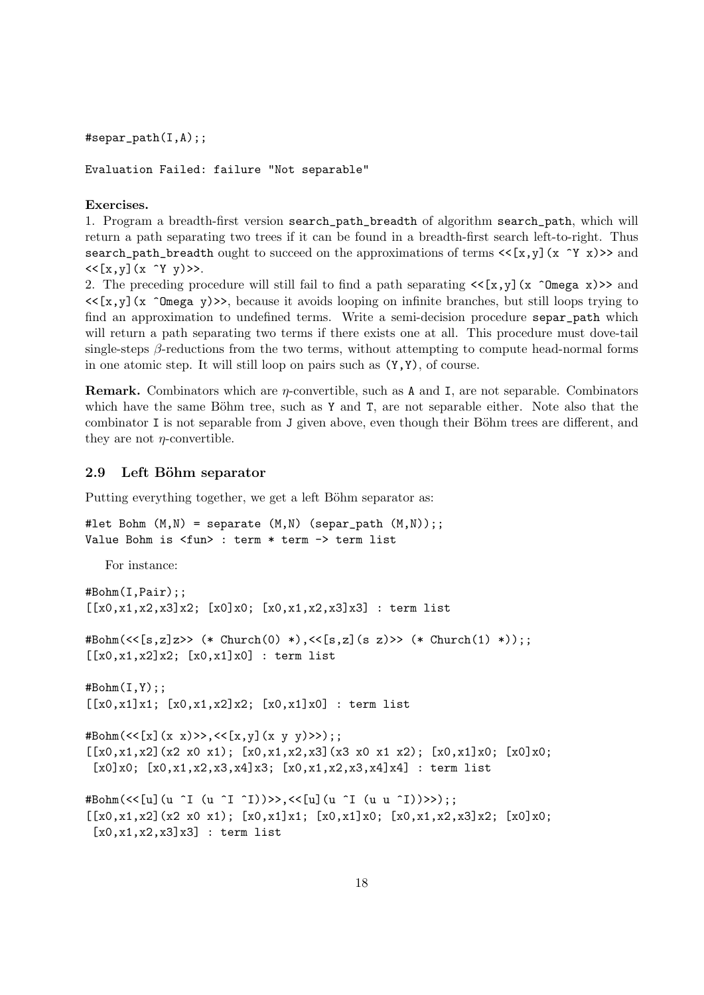$#$ separ\_path $(I,A);$ ;

Evaluation Failed: failure "Not separable"

#### Exercises.

1. Program a breadth-first version search\_path\_breadth of algorithm search\_path, which will return a path separating two trees if it can be found in a breadth-first search left-to-right. Thus search\_path\_breadth ought to succeed on the approximations of terms  $\langle \{x,y\} (x \gamma x) \rangle$  and  $<< [x, y] (x^ Y y)$ 

2. The preceding procedure will still fail to find a path separating  $\langle \cdot | \mathbf{x}, \mathbf{y} | \times \hat{\mathbf{y}} | \mathbf{x} \rangle$  and  $\langle \langle x,y \rangle \rangle$  (x  $\hat{\Omega}$  Omega y)>>, because it avoids looping on infinite branches, but still loops trying to find an approximation to undefined terms. Write a semi-decision procedure separ\_path which will return a path separating two terms if there exists one at all. This procedure must dove-tail single-steps  $\beta$ -reductions from the two terms, without attempting to compute head-normal forms in one atomic step. It will still loop on pairs such as (Y,Y), of course.

**Remark.** Combinators which are  $\eta$ -convertible, such as A and I, are not separable. Combinators which have the same Böhm tree, such as Y and T, are not separable either. Note also that the combinator I is not separable from J given above, even though their Böhm trees are different, and they are not  $\eta$ -convertible.

## 2.9 Left Böhm separator

Putting everything together, we get a left Böhm separator as:

```
#let Bohm (M, N) = separate (M, N) (separ_path (M, N));;
Value Bohm is <fun> : term * term -> term list
```
For instance:

```
#Bohm(I,Pair);;
[[x0,x1,x2,x3]x2; [x0]x0; [x0,x1,x2,x3]x3]: term list
#Bohm(<<[s,z]z>> (* Church(0) *),<<[s,z](s z)>> (* Church(1) *));;
[[x0, x1, x2]x2; [x0, x1]x0] : term list
# \text{Bohm}(I,Y);;
[[x0,x1]x1; [x0,x1,x2]x2; [x0,x1]x0]: term list
#Bohm(<<[x](x x)>>,<<[x,y](x y y)>>);;
[[x0,x1,x2](x2 x0 x1); [x0,x1,x2,x3](x3 x0 x1 x2); [x0,x1]x0; [x0]x0;
 [x0]x0; [x0,x1,x2,x3,x4]x3; [x0,x1,x2,x3,x4]x4]: term list
#Bohm(<<[u](u ^I (u ^I ^I))>>,<<[u](u ^I (u u ^I))>>);;
[(x0, x1, x2)(x2 x0 x1); [x0, x1]x1; [x0, x1]x0; [x0, x1, x2, x3]x2; [x0]x0;[x0, x1, x2, x3]x3] : term list
```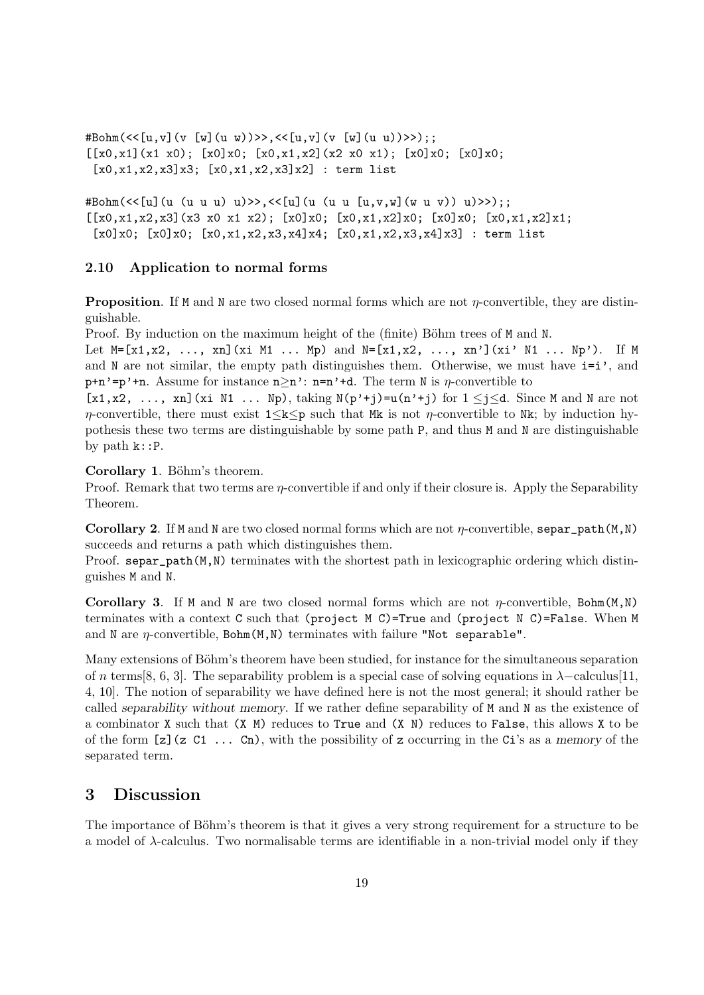#Bohm(<<[u,v](v [w](u w))>>,<<[u,v](v [w](u u))>>);;  $[[x0,x1](x1 x0); [x0]x0; [x0,x1,x2](x2 x0 x1); [x0]x0; [x0]x0;$  $[x0, x1, x2, x3]x3$ ;  $[x0, x1, x2, x3]x2]$  : term list

#Bohm(<<[u](u (u u u) u)>>,<<[u](u (u u [u,v,w](w u v)) u)>>);;  $[[x0,x1,x2,x3](x3 x0 x1 x2); [x0]x0; [x0,x1,x2]x0; [x0]x0; [x0,x1,x2]x1;$  $[x0]x0; [x0]x0; [x0,x1,x2,x3,x4]x4; [x0,x1,x2,x3,x4]x3]$ : term list

## 2.10 Application to normal forms

**Proposition.** If M and N are two closed normal forms which are not  $\eta$ -convertible, they are distinguishable.

Proof. By induction on the maximum height of the (finite) Böhm trees of M and N.

Let  $M=[x1, x2, ..., xn](xi M1 ... Mp)$  and  $N=[x1, x2, ..., xn'](xi' N1 ... Np').$  If M and N are not similar, the empty path distinguishes them. Otherwise, we must have  $i=i'$ , and p+n'=p'+n. Assume for instance  $n \ge n'$ : n=n'+d. The term N is  $\eta$ -convertible to

 $[x1, x2, \ldots, xn]$  (xi N1  $\ldots$  Np), taking N(p<sup>'+</sup>j)=u(n'<sup>+</sup>j) for  $1 \le j \le d$ . Since M and N are not  $\eta$ -convertible, there must exist  $1 \leq k \leq p$  such that Mk is not  $\eta$ -convertible to Nk; by induction hypothesis these two terms are distinguishable by some path P, and thus M and N are distinguishable by path k::P.

Corollary 1. Böhm's theorem.

Proof. Remark that two terms are *n*-convertible if and only if their closure is. Apply the Separability Theorem.

Corollary 2. If M and N are two closed normal forms which are not  $\eta$ -convertible, separ\_path(M,N) succeeds and returns a path which distinguishes them.

Proof. separ\_path(M,N) terminates with the shortest path in lexicographic ordering which distinguishes M and N.

**Corollary 3.** If M and N are two closed normal forms which are not  $\eta$ -convertible, Bohm(M,N) terminates with a context C such that (project M C)=True and (project N C)=False. When M and N are  $\eta$ -convertible, Bohm $(M, N)$  terminates with failure "Not separable".

Many extensions of Böhm's theorem have been studied, for instance for the simultaneous separation of n terms[8, 6, 3]. The separability problem is a special case of solving equations in  $\lambda$ -calculus[11, 4, 10]. The notion of separability we have defined here is not the most general; it should rather be called separability without memory. If we rather define separability of M and N as the existence of a combinator X such that (X M) reduces to True and (X N) reduces to False, this allows X to be of the form  $[z]$  (z C1 ... Cn), with the possibility of z occurring in the Ci's as a memory of the separated term.

## 3 Discussion

The importance of Böhm's theorem is that it gives a very strong requirement for a structure to be a model of  $\lambda$ -calculus. Two normalisable terms are identifiable in a non-trivial model only if they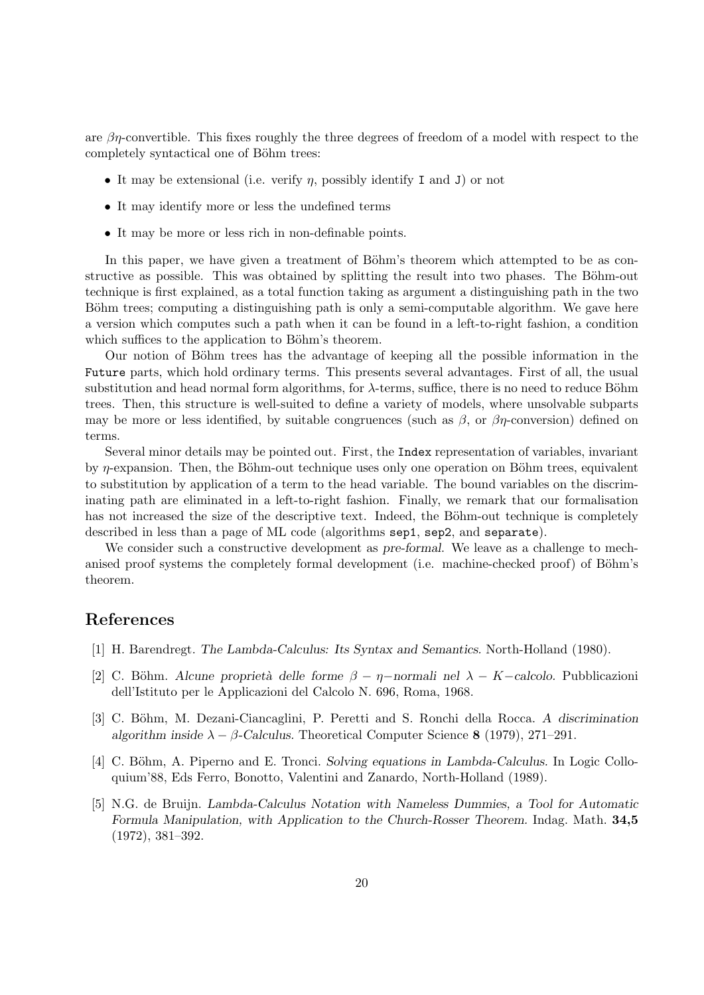are  $\beta\eta$ -convertible. This fixes roughly the three degrees of freedom of a model with respect to the completely syntactical one of Böhm trees:

- It may be extensional (i.e. verify  $\eta$ , possibly identify I and J) or not
- It may identify more or less the undefined terms
- It may be more or less rich in non-definable points.

In this paper, we have given a treatment of Böhm's theorem which attempted to be as constructive as possible. This was obtained by splitting the result into two phases. The Böhm-out technique is first explained, as a total function taking as argument a distinguishing path in the two Böhm trees; computing a distinguishing path is only a semi-computable algorithm. We gave here a version which computes such a path when it can be found in a left-to-right fashion, a condition which suffices to the application to Böhm's theorem.

Our notion of Böhm trees has the advantage of keeping all the possible information in the Future parts, which hold ordinary terms. This presents several advantages. First of all, the usual substitution and head normal form algorithms, for  $\lambda$ -terms, suffice, there is no need to reduce Böhm trees. Then, this structure is well-suited to define a variety of models, where unsolvable subparts may be more or less identified, by suitable congruences (such as  $\beta$ , or  $\beta\eta$ -conversion) defined on terms.

Several minor details may be pointed out. First, the Index representation of variables, invariant by  $\eta$ -expansion. Then, the Böhm-out technique uses only one operation on Böhm trees, equivalent to substitution by application of a term to the head variable. The bound variables on the discriminating path are eliminated in a left-to-right fashion. Finally, we remark that our formalisation has not increased the size of the descriptive text. Indeed, the Böhm-out technique is completely described in less than a page of ML code (algorithms sep1, sep2, and separate).

We consider such a constructive development as pre-formal. We leave as a challenge to mechanised proof systems the completely formal development (i.e. machine-checked proof) of Böhm's theorem.

# References

- [1] H. Barendregt. The Lambda-Calculus: Its Syntax and Semantics. North-Holland (1980).
- [2] C. Böhm. Alcune proprietà delle forme  $\beta \eta$ -normali nel  $\lambda K$ -calcolo. Pubblicazioni dell'Istituto per le Applicazioni del Calcolo N. 696, Roma, 1968.
- [3] C. Böhm, M. Dezani-Ciancaglini, P. Peretti and S. Ronchi della Rocca. A discrimination algorithm inside  $\lambda - \beta$ -Calculus. Theoretical Computer Science 8 (1979), 271–291.
- [4] C. Böhm, A. Piperno and E. Tronci. Solving equations in Lambda-Calculus. In Logic Colloquium'88, Eds Ferro, Bonotto, Valentini and Zanardo, North-Holland (1989).
- [5] N.G. de Bruijn. Lambda-Calculus Notation with Nameless Dummies, a Tool for Automatic Formula Manipulation, with Application to the Church-Rosser Theorem. Indag. Math. 34,5 (1972), 381–392.